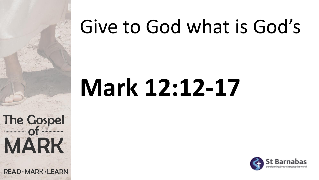## Give to God what is God's

## **Mark 12:12-17**



The Gospel **MARK**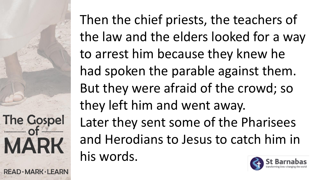**The Gospel READ · MARK · LEARN** 

Then the chief priests, the teachers of the law and the elders looked for a way to arrest him because they knew he had spoken the parable against them. But they were afraid of the crowd; so they left him and went away. Later they sent some of the Pharisees and Herodians to Jesus to catch him in his words.

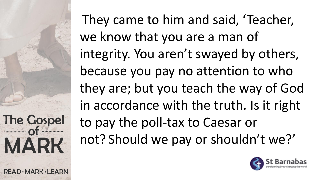

They came to him and said, 'Teacher, we know that you are a man of integrity. You aren't swayed by others, because you pay no attention to who they are; but you teach the way of God in accordance with the truth. Is it right to pay the poll-tax to Caesar or not? Should we pay or shouldn't we?'

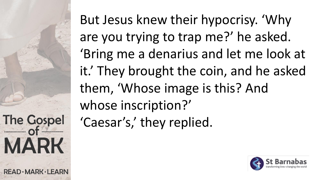

But Jesus knew their hypocrisy. 'Why are you trying to trap me?' he asked. 'Bring me a denarius and let me look at it.' They brought the coin, and he asked them, 'Whose image is this? And whose inscription?' 'Caesar's,' they replied.

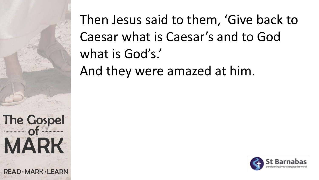

Then Jesus said to them, 'Give back to Caesar what is Caesar's and to God what is God's.' And they were amazed at him.

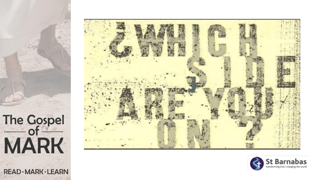The Gospel<br>MARK



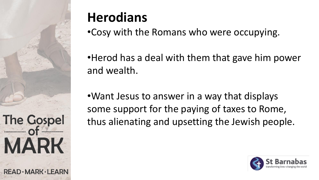

## **Herodians**

•Cosy with the Romans who were occupying.

•Herod has a deal with them that gave him power and wealth.

•Want Jesus to answer in a way that displays some support for the paying of taxes to Rome, thus alienating and upsetting the Jewish people.

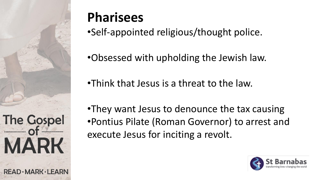

## **Pharisees**

•Self-appointed religious/thought police.

•Obsessed with upholding the Jewish law.

•Think that Jesus is a threat to the law.

•They want Jesus to denounce the tax causing •Pontius Pilate (Roman Governor) to arrest and execute Jesus for inciting a revolt.

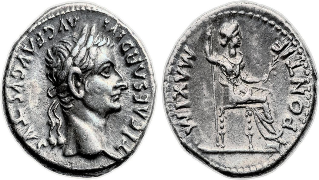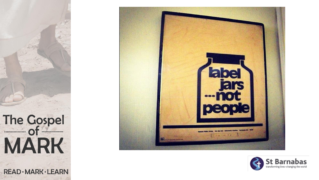



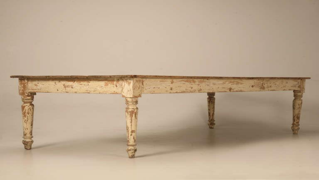